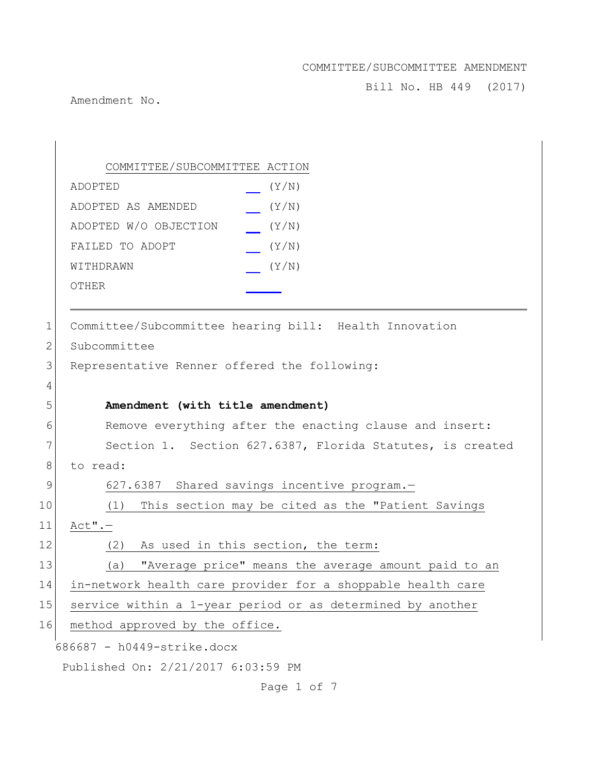Bill No. HB 449 (2017)

Amendment No.

686687 - h0449-strike.docx Published On: 2/21/2017 6:03:59 PM COMMITTEE/SUBCOMMITTEE ACTION ADOPTED (Y/N) ADOPTED AS AMENDED (Y/N) ADOPTED W/O OBJECTION (Y/N) FAILED TO ADOPT (Y/N) WITHDRAWN  $(Y/N)$ OTHER 1 Committee/Subcommittee hearing bill: Health Innovation 2 Subcommittee 3 Representative Renner offered the following: 4 5 **Amendment (with title amendment)** 6 Remove everything after the enacting clause and insert: 7 Section 1. Section 627.6387, Florida Statutes, is created 8 to read: 9 627.6387 Shared savings incentive program. 10 (1) This section may be cited as the "Patient Savings 11 Act".— 12 (2) As used in this section, the term: 13 (a) "Average price" means the average amount paid to an 14 in-network health care provider for a shoppable health care 15 service within a 1-year period or as determined by another 16 method approved by the office.

Page 1 of 7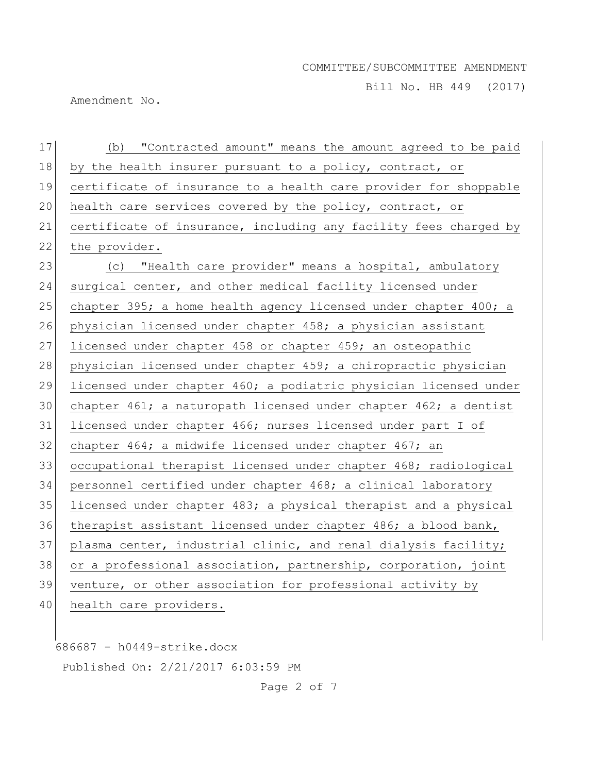Bill No. HB 449 (2017)

Amendment No.

| 17 | (b) "Contracted amount" means the amount agreed to be paid       |
|----|------------------------------------------------------------------|
| 18 | by the health insurer pursuant to a policy, contract, or         |
| 19 | certificate of insurance to a health care provider for shoppable |
| 20 | health care services covered by the policy, contract, or         |
| 21 | certificate of insurance, including any facility fees charged by |
| 22 | the provider.                                                    |
| 23 | (c) "Health care provider" means a hospital, ambulatory          |
| 24 | surgical center, and other medical facility licensed under       |
| 25 | chapter 395; a home health agency licensed under chapter 400; a  |
| 26 | physician licensed under chapter 458; a physician assistant      |
| 27 | licensed under chapter 458 or chapter 459; an osteopathic        |
| 28 | physician licensed under chapter 459; a chiropractic physician   |
| 29 | licensed under chapter 460; a podiatric physician licensed under |
| 30 | chapter 461; a naturopath licensed under chapter 462; a dentist  |
| 31 | licensed under chapter 466; nurses licensed under part I of      |
| 32 | chapter 464; a midwife licensed under chapter 467; an            |
| 33 | occupational therapist licensed under chapter 468; radiological  |
| 34 | personnel certified under chapter 468; a clinical laboratory     |
| 35 | licensed under chapter 483; a physical therapist and a physical  |
| 36 | therapist assistant licensed under chapter 486; a blood bank,    |
| 37 | plasma center, industrial clinic, and renal dialysis facility;   |
| 38 | or a professional association, partnership, corporation, joint   |
| 39 | venture, or other association for professional activity by       |
| 40 | health care providers.                                           |

686687 - h0449-strike.docx Published On: 2/21/2017 6:03:59 PM

Page 2 of 7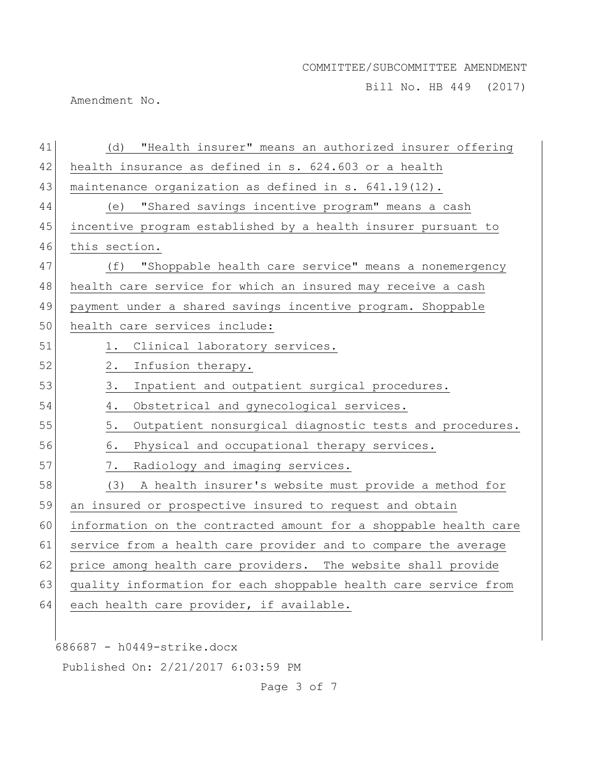Bill No. HB 449 (2017)

Amendment No.

| 41 | "Health insurer" means an authorized insurer offering<br>(d)     |
|----|------------------------------------------------------------------|
| 42 | health insurance as defined in s. 624.603 or a health            |
| 43 | maintenance organization as defined in s. 641.19(12).            |
| 44 | "Shared savings incentive program" means a cash<br>(e)           |
| 45 | incentive program established by a health insurer pursuant to    |
| 46 | this section.                                                    |
| 47 | "Shoppable health care service" means a nonemergency<br>(f)      |
| 48 | health care service for which an insured may receive a cash      |
| 49 | payment under a shared savings incentive program. Shoppable      |
| 50 | health care services include:                                    |
| 51 | Clinical laboratory services.<br>1.                              |
| 52 | Infusion therapy.<br>2.                                          |
| 53 | Inpatient and outpatient surgical procedures.<br>3.              |
| 54 | Obstetrical and gynecological services.<br>4.                    |
| 55 | Outpatient nonsurgical diagnostic tests and procedures.<br>5.    |
| 56 | Physical and occupational therapy services.<br>6.                |
| 57 | Radiology and imaging services.<br>7.                            |
| 58 | (3) A health insurer's website must provide a method for         |
| 59 | an insured or prospective insured to request and obtain          |
| 60 | information on the contracted amount for a shoppable health care |
| 61 | service from a health care provider and to compare the average   |
| 62 | price among health care providers. The website shall provide     |
| 63 | quality information for each shoppable health care service from  |
| 64 | each health care provider, if available.                         |
|    |                                                                  |
|    | 686687 - h0449-strike.docx                                       |

Published On: 2/21/2017 6:03:59 PM

Page 3 of 7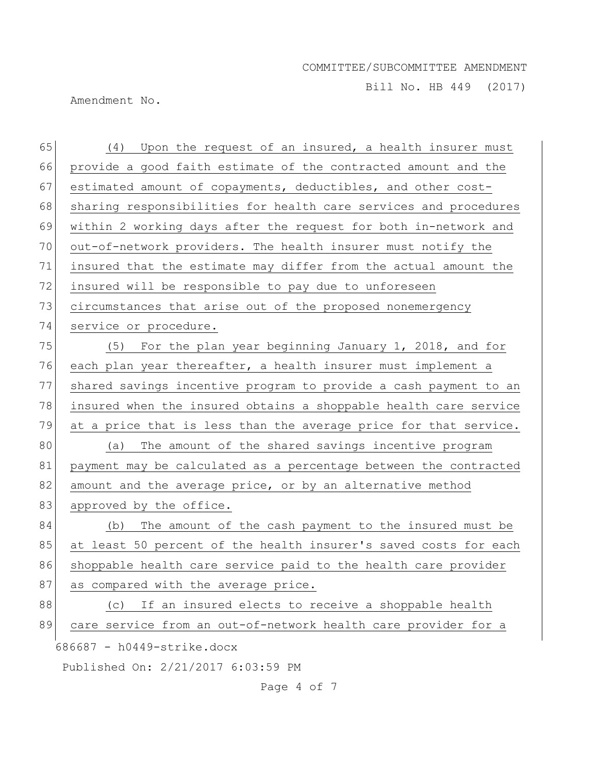Bill No. HB 449 (2017)

Amendment No.

| 65 | (4) Upon the request of an insured, a health insurer must        |
|----|------------------------------------------------------------------|
| 66 | provide a good faith estimate of the contracted amount and the   |
| 67 | estimated amount of copayments, deductibles, and other cost-     |
| 68 | sharing responsibilities for health care services and procedures |
| 69 | within 2 working days after the request for both in-network and  |
| 70 | out-of-network providers. The health insurer must notify the     |
| 71 | insured that the estimate may differ from the actual amount the  |
| 72 | insured will be responsible to pay due to unforeseen             |
| 73 | circumstances that arise out of the proposed nonemergency        |
| 74 | service or procedure.                                            |
| 75 | (5) For the plan year beginning January 1, 2018, and for         |
| 76 | each plan year thereafter, a health insurer must implement a     |
| 77 | shared savings incentive program to provide a cash payment to an |
| 78 | insured when the insured obtains a shoppable health care service |
| 79 | at a price that is less than the average price for that service. |
| 80 | The amount of the shared savings incentive program<br>(a)        |
| 81 | payment may be calculated as a percentage between the contracted |
| 82 | amount and the average price, or by an alternative method        |
| 83 | approved by the office.                                          |
| 84 | (b) The amount of the cash payment to the insured must be        |
| 85 | at least 50 percent of the health insurer's saved costs for each |
| 86 | shoppable health care service paid to the health care provider   |
| 87 | as compared with the average price.                              |
| 88 | If an insured elects to receive a shoppable health<br>(C)        |
| 89 | care service from an out-of-network health care provider for a   |
|    | 686687 - h0449-strike.docx                                       |
|    | Published On: 2/21/2017 6:03:59 PM                               |

Page 4 of 7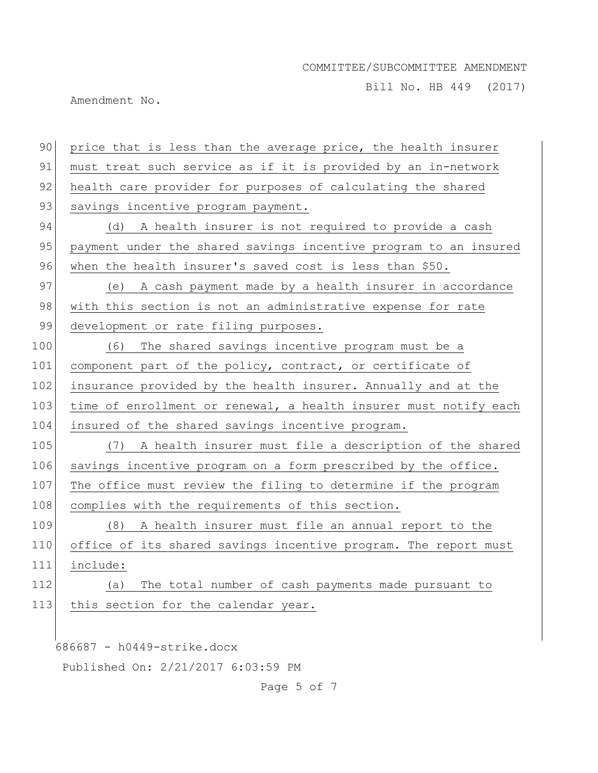Bill No. HB 449 (2017)

Amendment No.

| 90  | price that is less than the average price, the health insurer    |
|-----|------------------------------------------------------------------|
| 91  | must treat such service as if it is provided by an in-network    |
| 92  | health care provider for purposes of calculating the shared      |
| 93  | savings incentive program payment.                               |
| 94  | (d) A health insurer is not required to provide a cash           |
| 95  | payment under the shared savings incentive program to an insured |
| 96  | when the health insurer's saved cost is less than \$50.          |
| 97  | (e) A cash payment made by a health insurer in accordance        |
| 98  | with this section is not an administrative expense for rate      |
| 99  | development or rate filing purposes.                             |
| 100 | The shared savings incentive program must be a<br>(6)            |
| 101 | component part of the policy, contract, or certificate of        |
| 102 | insurance provided by the health insurer. Annually and at the    |
| 103 | time of enrollment or renewal, a health insurer must notify each |
| 104 | insured of the shared savings incentive program.                 |
| 105 | (7) A health insurer must file a description of the shared       |
| 106 | savings incentive program on a form prescribed by the office.    |
| 107 | The office must review the filing to determine if the program    |
| 108 | complies with the requirements of this section.                  |
| 109 | (8) A health insurer must file an annual report to the           |
| 110 | office of its shared savings incentive program. The report must  |
| 111 | include:                                                         |
| 112 | The total number of cash payments made pursuant to<br>(a)        |
| 113 | this section for the calendar year.                              |
|     |                                                                  |
|     | 686687 - h0449-strike.docx                                       |
|     | Published On: 2/21/2017 6:03:59 PM                               |

Page 5 of 7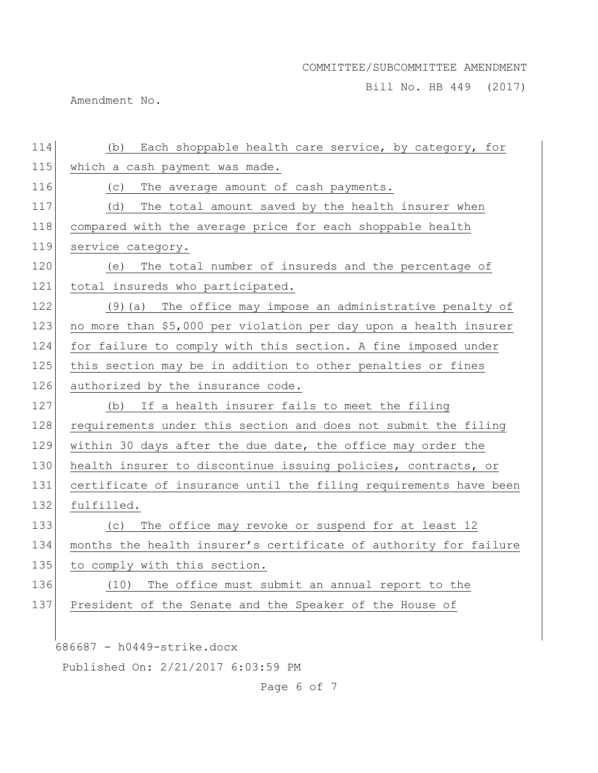Bill No. HB 449 (2017)

Amendment No.

| 114 | (b) Each shoppable health care service, by category, for         |
|-----|------------------------------------------------------------------|
| 115 | which a cash payment was made.                                   |
| 116 | The average amount of cash payments.<br>(C)                      |
| 117 | The total amount saved by the health insurer when<br>(d)         |
| 118 | compared with the average price for each shoppable health        |
| 119 | service category.                                                |
| 120 | The total number of insureds and the percentage of<br>(e)        |
| 121 | total insureds who participated.                                 |
| 122 | (9) (a) The office may impose an administrative penalty of       |
| 123 | no more than \$5,000 per violation per day upon a health insurer |
| 124 | for failure to comply with this section. A fine imposed under    |
| 125 | this section may be in addition to other penalties or fines      |
| 126 | authorized by the insurance code.                                |
| 127 | If a health insurer fails to meet the filing<br>(b)              |
| 128 | requirements under this section and does not submit the filing   |
| 129 | within 30 days after the due date, the office may order the      |
| 130 | health insurer to discontinue issuing policies, contracts, or    |
| 131 | certificate of insurance until the filing requirements have been |
| 132 | fulfilled.                                                       |
| 133 | The office may revoke or suspend for at least 12<br>(C)          |
| 134 | months the health insurer's certificate of authority for failure |
| 135 | to comply with this section.                                     |
| 136 | The office must submit an annual report to the<br>(10)           |
| 137 | President of the Senate and the Speaker of the House of          |
|     |                                                                  |
|     | 686687 - h0449-strike.docx                                       |
|     | Published On: 2/21/2017 6:03:59 PM                               |

Page 6 of 7